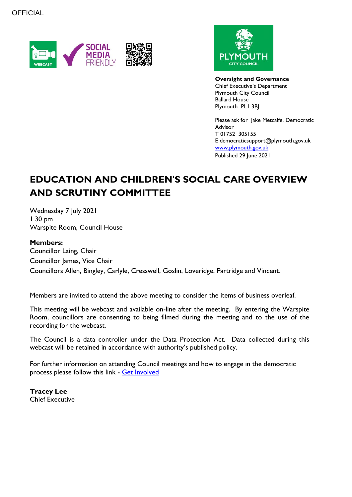



**Oversight and Governance** Chief Executive's Department Plymouth City Council Ballard House Plymouth PL1 3BJ

Please ask for Jake Metcalfe, Democratic Advisor T 01752 305155 E democraticsupport@plymouth.gov.uk [www.plymouth.gov.uk](https://www.plymouth.gov.uk/councillorscommitteesandmeetings) Published 29 June 2021

# **EDUCATION AND CHILDREN'S SOCIAL CARE OVERVIEW AND SCRUTINY COMMITTEE**

Wednesday 7 July 2021 1.30 pm Warspite Room, Council House

#### **Members:**

Councillor Laing, Chair Councillor James, Vice Chair Councillors Allen, Bingley, Carlyle, Cresswell, Goslin, Loveridge, Partridge and Vincent.

Members are invited to attend the above meeting to consider the items of business overleaf.

This meeting will be webcast and available on-line after the meeting. By entering the Warspite Room, councillors are consenting to being filmed during the meeting and to the use of the recording for the webcast.

The Council is a data controller under the Data Protection Act. Data collected during this webcast will be retained in accordance with authority's published policy.

For further information on attending Council meetings and how to engage in the democratic process please follow this link - [Get Involved](https://www.plymouth.gov.uk/councillorscommitteesandmeetings/getinvolved)

**Tracey Lee** Chief Executive